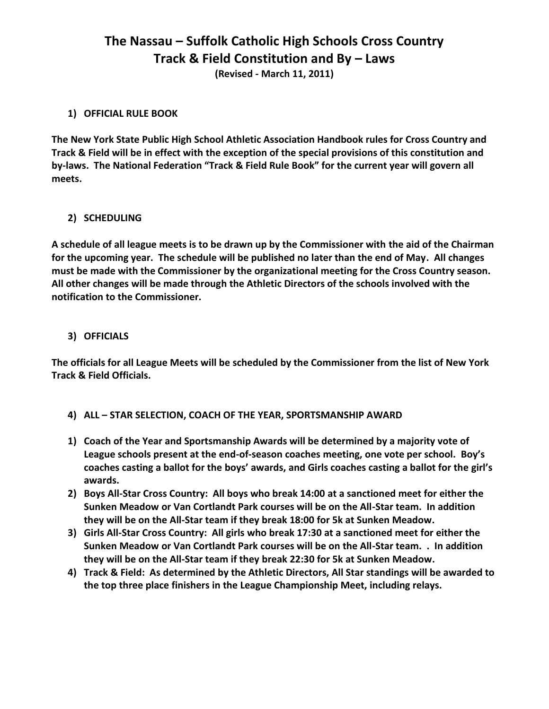# **The Nassau – Suffolk Catholic High Schools Cross Country Track & Field Constitution and By – Laws**

**(Revised - March 11, 2011)**

# **1) OFFICIAL RULE BOOK**

**The New York State Public High School Athletic Association Handbook rules for Cross Country and Track & Field will be in effect with the exception of the special provisions of this constitution and by-laws. The National Federation "Track & Field Rule Book" for the current year will govern all meets.**

# **2) SCHEDULING**

**A schedule of all league meets is to be drawn up by the Commissioner with the aid of the Chairman for the upcoming year. The schedule will be published no later than the end of May. All changes must be made with the Commissioner by the organizational meeting for the Cross Country season. All other changes will be made through the Athletic Directors of the schools involved with the notification to the Commissioner.**

# **3) OFFICIALS**

**The officials for all League Meets will be scheduled by the Commissioner from the list of New York Track & Field Officials.**

- **4) ALL – STAR SELECTION, COACH OF THE YEAR, SPORTSMANSHIP AWARD**
- **1) Coach of the Year and Sportsmanship Awards will be determined by a majority vote of League schools present at the end-of-season coaches meeting, one vote per school. Boy's coaches casting a ballot for the boys' awards, and Girls coaches casting a ballot for the girl's awards.**
- **2) Boys All-Star Cross Country: All boys who break 14:00 at a sanctioned meet for either the Sunken Meadow or Van Cortlandt Park courses will be on the All-Star team. In addition they will be on the All-Star team if they break 18:00 for 5k at Sunken Meadow.**
- **3) Girls All-Star Cross Country: All girls who break 17:30 at a sanctioned meet for either the Sunken Meadow or Van Cortlandt Park courses will be on the All-Star team. . In addition they will be on the All-Star team if they break 22:30 for 5k at Sunken Meadow.**
- **4) Track & Field: As determined by the Athletic Directors, All Star standings will be awarded to the top three place finishers in the League Championship Meet, including relays.**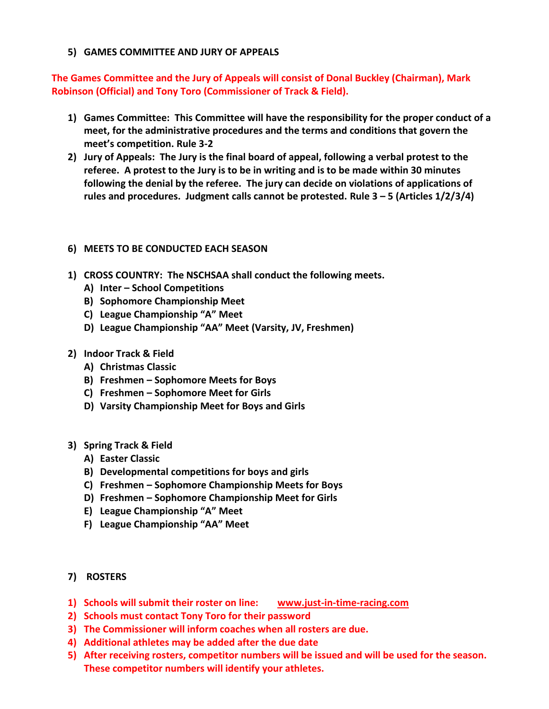### **5) GAMES COMMITTEE AND JURY OF APPEALS**

**The Games Committee and the Jury of Appeals will consist of Donal Buckley (Chairman), Mark Robinson (Official) and Tony Toro (Commissioner of Track & Field).**

- **1) Games Committee: This Committee will have the responsibility for the proper conduct of a meet, for the administrative procedures and the terms and conditions that govern the meet's competition. Rule 3-2**
- **2) Jury of Appeals: The Jury is the final board of appeal, following a verbal protest to the referee. A protest to the Jury is to be in writing and is to be made within 30 minutes following the denial by the referee. The jury can decide on violations of applications of rules and procedures. Judgment calls cannot be protested. Rule 3 – 5 (Articles 1/2/3/4)**

# **6) MEETS TO BE CONDUCTED EACH SEASON**

- **1) CROSS COUNTRY: The NSCHSAA shall conduct the following meets.**
	- **A) Inter – School Competitions**
	- **B) Sophomore Championship Meet**
	- **C) League Championship "A" Meet**
	- **D) League Championship "AA" Meet (Varsity, JV, Freshmen)**
- **2) Indoor Track & Field**
	- **A) Christmas Classic**
	- **B) Freshmen – Sophomore Meets for Boys**
	- **C) Freshmen – Sophomore Meet for Girls**
	- **D) Varsity Championship Meet for Boys and Girls**
- **3) Spring Track & Field**
	- **A) Easter Classic**
	- **B) Developmental competitions for boys and girls**
	- **C) Freshmen – Sophomore Championship Meets for Boys**
	- **D) Freshmen – Sophomore Championship Meet for Girls**
	- **E) League Championship "A" Meet**
	- **F) League Championship "AA" Meet**
- **7) ROSTERS**
- **1) Schools will submit their roster on line: [www.just-in-time-racing.com](http://www.just-in-time-racing.com/)**
- **2) Schools must contact Tony Toro for their password**
- **3) The Commissioner will inform coaches when all rosters are due.**
- **4) Additional athletes may be added after the due date**
- **5) After receiving rosters, competitor numbers will be issued and will be used for the season. These competitor numbers will identify your athletes.**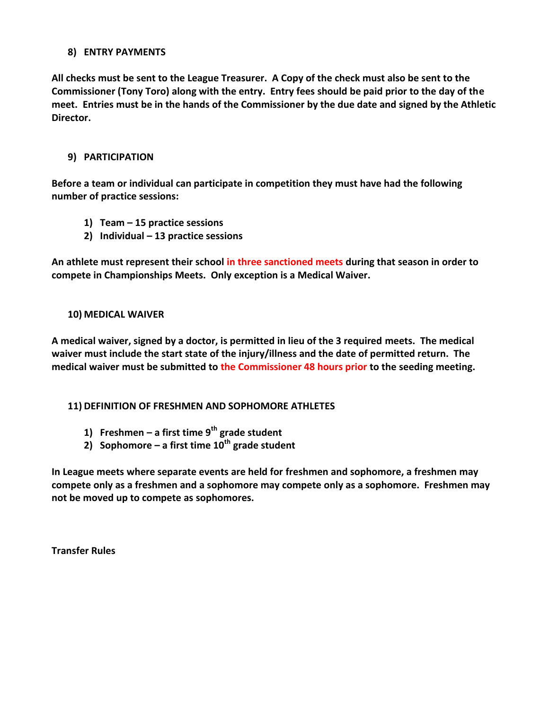### **8) ENTRY PAYMENTS**

**All checks must be sent to the League Treasurer. A Copy of the check must also be sent to the Commissioner (Tony Toro) along with the entry. Entry fees should be paid prior to the day of the meet. Entries must be in the hands of the Commissioner by the due date and signed by the Athletic Director.**

### **9) PARTICIPATION**

**Before a team or individual can participate in competition they must have had the following number of practice sessions:**

- **1) Team – 15 practice sessions**
- **2) Individual – 13 practice sessions**

**An athlete must represent their school in three sanctioned meets during that season in order to compete in Championships Meets. Only exception is a Medical Waiver.**

### **10) MEDICAL WAIVER**

**A medical waiver, signed by a doctor, is permitted in lieu of the 3 required meets. The medical waiver must include the start state of the injury/illness and the date of permitted return. The medical waiver must be submitted to the Commissioner 48 hours prior to the seeding meeting.**

# **11) DEFINITION OF FRESHMEN AND SOPHOMORE ATHLETES**

- **1) Freshmen – a first time 9th grade student**
- **2) Sophomore – a first time 10th grade student**

**In League meets where separate events are held for freshmen and sophomore, a freshmen may compete only as a freshmen and a sophomore may compete only as a sophomore. Freshmen may not be moved up to compete as sophomores.**

**Transfer Rules**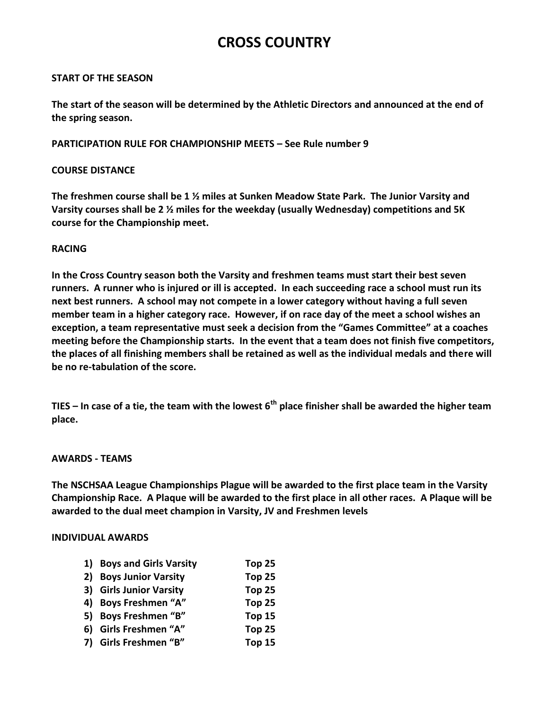# **CROSS COUNTRY**

#### **START OF THE SEASON**

**The start of the season will be determined by the Athletic Directors and announced at the end of the spring season.**

### **PARTICIPATION RULE FOR CHAMPIONSHIP MEETS – See Rule number 9**

### **COURSE DISTANCE**

**The freshmen course shall be 1 ½ miles at Sunken Meadow State Park. The Junior Varsity and Varsity courses shall be 2 ½ miles for the weekday (usually Wednesday) competitions and 5K course for the Championship meet.**

### **RACING**

**In the Cross Country season both the Varsity and freshmen teams must start their best seven runners. A runner who is injured or ill is accepted. In each succeeding race a school must run its next best runners. A school may not compete in a lower category without having a full seven member team in a higher category race. However, if on race day of the meet a school wishes an exception, a team representative must seek a decision from the "Games Committee" at a coaches meeting before the Championship starts. In the event that a team does not finish five competitors, the places of all finishing members shall be retained as well as the individual medals and there will be no re-tabulation of the score.**

**TIES – In case of a tie, the team with the lowest 6th place finisher shall be awarded the higher team place.**

#### **AWARDS - TEAMS**

**The NSCHSAA League Championships Plague will be awarded to the first place team in the Varsity Championship Race. A Plaque will be awarded to the first place in all other races. A Plaque will be awarded to the dual meet champion in Varsity, JV and Freshmen levels**

#### **INDIVIDUAL AWARDS**

| 1) Boys and Girls Varsity | Top 25            |
|---------------------------|-------------------|
| 2) Boys Junior Varsity    | Top 25            |
| 3) Girls Junior Varsity   | Top 25            |
| 4) Boys Freshmen "A"      | Top <sub>25</sub> |
| 5) Boys Freshmen "B"      | Top 15            |
| 6) Girls Freshmen "A"     | Top 25            |
| 7) Girls Freshmen "B"     | Top 15            |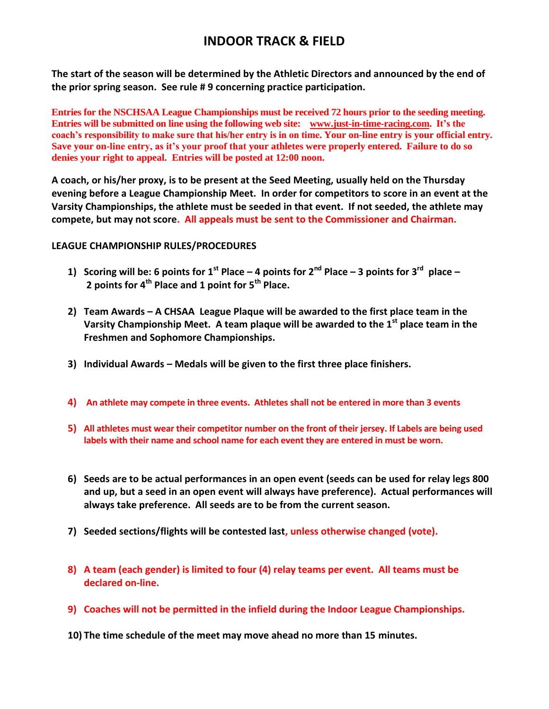# **INDOOR TRACK & FIELD**

**The start of the season will be determined by the Athletic Directors and announced by the end of the prior spring season. See rule # 9 concerning practice participation.**

**Entries for the NSCHSAA League Championships must be received 72 hours prior to the seeding meeting. Entries will be submitted on line using the following web site: [www.just-in-time-racing.com.](http://www.just-in-time-racing.com/) It's the coach's responsibility to make sure that his/her entry is in on time. Your on-line entry is your official entry. Save your on-line entry, as it's your proof that your athletes were properly entered. Failure to do so denies your right to appeal. Entries will be posted at 12:00 noon.**

**A coach, or his/her proxy, is to be present at the Seed Meeting, usually held on the Thursday evening before a League Championship Meet. In order for competitors to score in an event at the Varsity Championships, the athlete must be seeded in that event. If not seeded, the athlete may compete, but may not score. All appeals must be sent to the Commissioner and Chairman.**

### **LEAGUE CHAMPIONSHIP RULES/PROCEDURES**

- **1) Scoring will be: 6 points for 1st Place – 4 points for 2nd Place – 3 points for 3rd place – 2 points for 4th Place and 1 point for 5th Place.**
- **2) Team Awards – A CHSAA League Plaque will be awarded to the first place team in the Varsity Championship Meet. A team plaque will be awarded to the 1st place team in the Freshmen and Sophomore Championships.**
- **3) Individual Awards – Medals will be given to the first three place finishers.**
- **4) An athlete may compete in three events. Athletes shall not be entered in more than 3 events**
- **5) All athletes must wear their competitor number on the front of their jersey. If Labels are being used labels with their name and school name for each event they are entered in must be worn.**
- **6) Seeds are to be actual performances in an open event (seeds can be used for relay legs 800 and up, but a seed in an open event will always have preference). Actual performances will always take preference. All seeds are to be from the current season.**
- **7) Seeded sections/flights will be contested last, unless otherwise changed (vote).**
- **8) A team (each gender) is limited to four (4) relay teams per event. All teams must be declared on-line.**
- **9) Coaches will not be permitted in the infield during the Indoor League Championships.**
- **10) The time schedule of the meet may move ahead no more than 15 minutes.**